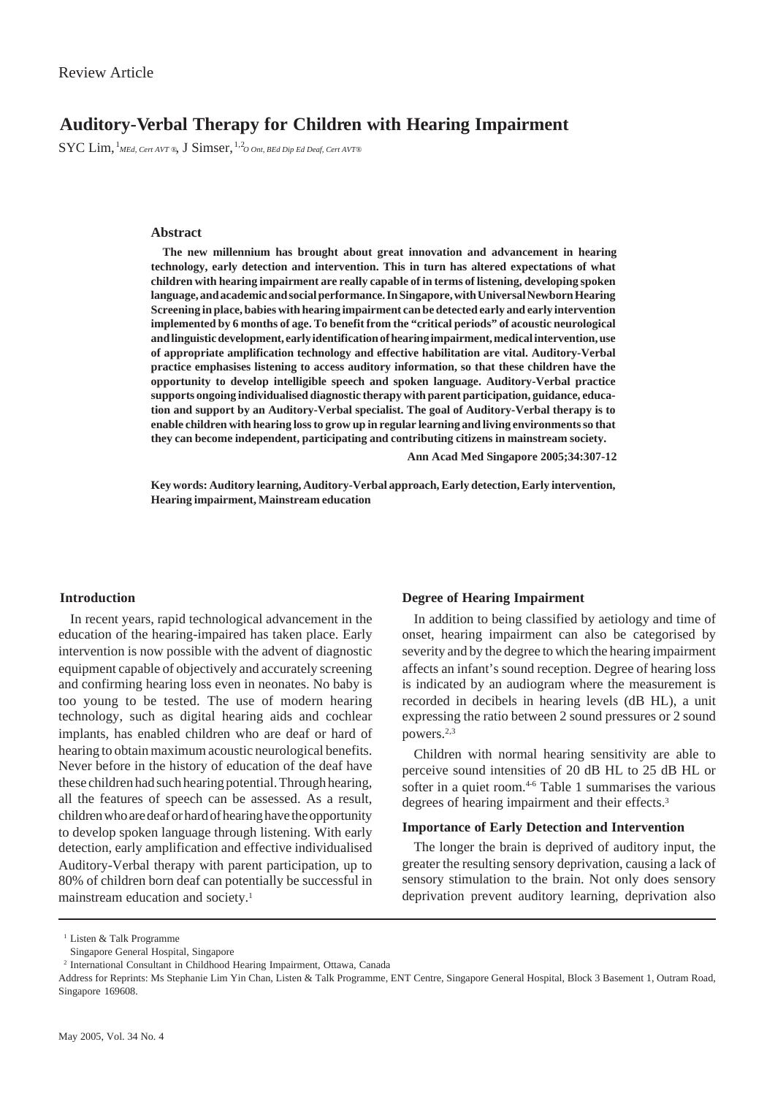# **Auditory-Verbal Therapy for Children with Hearing Impairment**

 $\rm{SYC\,Lim,}$   $^{1}$ *MEd, Cert AVT* ®,  $\rm{J\,Simser,}$   $^{1,2}$ *O Ont, BEd Dip Ed Deaf, Cert AVT* ®

#### **Abstract**

**The new millennium has brought about great innovation and advancement in hearing technology, early detection and intervention. This in turn has altered expectations of what children with hearing impairment are really capable of in terms of listening, developing spoken language, and academic and social performance. In Singapore, with Universal Newborn Hearing Screening in place, babies with hearing impairment can be detected early and early intervention implemented by 6 months of age. To benefit from the "critical periods" of acoustic neurological and linguistic development, early identification of hearing impairment, medical intervention, use of appropriate amplification technology and effective habilitation are vital. Auditory-Verbal practice emphasises listening to access auditory information, so that these children have the opportunity to develop intelligible speech and spoken language. Auditory-Verbal practice supports ongoing individualised diagnostic therapy with parent participation, guidance, education and support by an Auditory-Verbal specialist. The goal of Auditory-Verbal therapy is to enable children with hearing loss to grow up in regular learning and living environments so that they can become independent, participating and contributing citizens in mainstream society.**

**Ann Acad Med Singapore 2005;34:307-12**

**Key words: Auditory learning, Auditory-Verbal approach, Early detection, Early intervention, Hearing impairment, Mainstream education**

# **Introduction**

In recent years, rapid technological advancement in the education of the hearing-impaired has taken place. Early intervention is now possible with the advent of diagnostic equipment capable of objectively and accurately screening and confirming hearing loss even in neonates. No baby is too young to be tested. The use of modern hearing technology, such as digital hearing aids and cochlear implants, has enabled children who are deaf or hard of hearing to obtain maximum acoustic neurological benefits. Never before in the history of education of the deaf have these children had such hearing potential. Through hearing, all the features of speech can be assessed. As a result, children who are deaf or hard of hearing have the opportunity to develop spoken language through listening. With early detection, early amplification and effective individualised Auditory-Verbal therapy with parent participation, up to 80% of children born deaf can potentially be successful in mainstream education and society.1

## **Degree of Hearing Impairment**

In addition to being classified by aetiology and time of onset, hearing impairment can also be categorised by severity and by the degree to which the hearing impairment affects an infant's sound reception. Degree of hearing loss is indicated by an audiogram where the measurement is recorded in decibels in hearing levels (dB HL), a unit expressing the ratio between 2 sound pressures or 2 sound powers.2,3

Children with normal hearing sensitivity are able to perceive sound intensities of 20 dB HL to 25 dB HL or softer in a quiet room.<sup>4-6</sup> Table 1 summarises the various degrees of hearing impairment and their effects.<sup>3</sup>

# **Importance of Early Detection and Intervention**

The longer the brain is deprived of auditory input, the greater the resulting sensory deprivation, causing a lack of sensory stimulation to the brain. Not only does sensory deprivation prevent auditory learning, deprivation also

<sup>1</sup> Listen & Talk Programme

Singapore General Hospital, Singapore

<sup>2</sup> International Consultant in Childhood Hearing Impairment, Ottawa, Canada

Address for Reprints: Ms Stephanie Lim Yin Chan, Listen & Talk Programme, ENT Centre, Singapore General Hospital, Block 3 Basement 1, Outram Road, Singapore 169608.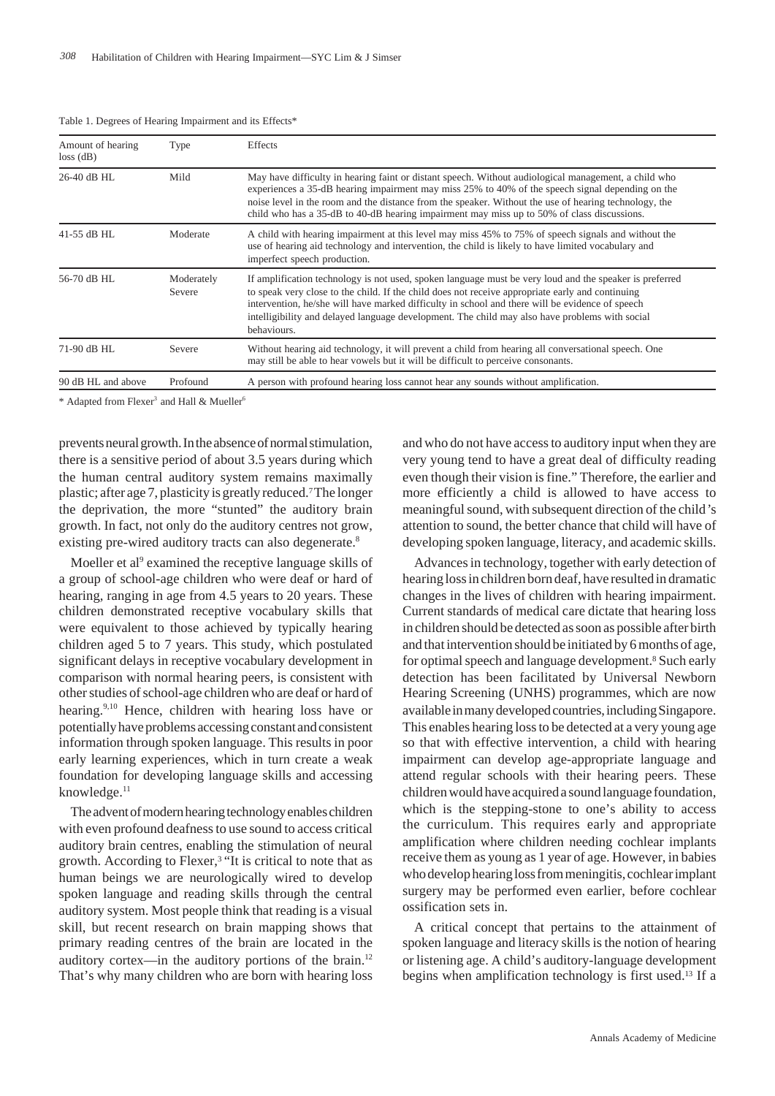| Amount of hearing<br>$loss$ (dB) | Type                 | Effects                                                                                                                                                                                                                                                                                                                                                                                                                         |
|----------------------------------|----------------------|---------------------------------------------------------------------------------------------------------------------------------------------------------------------------------------------------------------------------------------------------------------------------------------------------------------------------------------------------------------------------------------------------------------------------------|
| 26-40 dB HL                      | Mild                 | May have difficulty in hearing faint or distant speech. Without audiological management, a child who<br>experiences a 35-dB hearing impairment may miss 25% to 40% of the speech signal depending on the<br>noise level in the room and the distance from the speaker. Without the use of hearing technology, the<br>child who has a 35-dB to 40-dB hearing impairment may miss up to 50% of class discussions.                 |
| 41-55 dB HL                      | Moderate             | A child with hearing impairment at this level may miss 45% to 75% of speech signals and without the<br>use of hearing aid technology and intervention, the child is likely to have limited vocabulary and<br>imperfect speech production.                                                                                                                                                                                       |
| 56-70 dB HL                      | Moderately<br>Severe | If amplification technology is not used, spoken language must be very loud and the speaker is preferred<br>to speak very close to the child. If the child does not receive appropriate early and continuing<br>intervention, he/she will have marked difficulty in school and there will be evidence of speech<br>intelligibility and delayed language development. The child may also have problems with social<br>behaviours. |
| 71-90 dB HL                      | Severe               | Without hearing aid technology, it will prevent a child from hearing all conversational speech. One<br>may still be able to hear vowels but it will be difficult to perceive consonants.                                                                                                                                                                                                                                        |
| 90 dB HL and above               | Profound             | A person with profound hearing loss cannot hear any sounds without amplification.                                                                                                                                                                                                                                                                                                                                               |

Table 1. Degrees of Hearing Impairment and its Effects\*

\* Adapted from Flexer<sup>3</sup> and Hall & Mueller<sup>6</sup>

prevents neural growth. In the absence of normal stimulation, there is a sensitive period of about 3.5 years during which the human central auditory system remains maximally plastic; after age 7, plasticity is greatly reduced.7 The longer the deprivation, the more "stunted" the auditory brain growth. In fact, not only do the auditory centres not grow, existing pre-wired auditory tracts can also degenerate.<sup>8</sup>

Moeller et al<sup>9</sup> examined the receptive language skills of a group of school-age children who were deaf or hard of hearing, ranging in age from 4.5 years to 20 years. These children demonstrated receptive vocabulary skills that were equivalent to those achieved by typically hearing children aged 5 to 7 years. This study, which postulated significant delays in receptive vocabulary development in comparison with normal hearing peers, is consistent with other studies of school-age children who are deaf or hard of hearing.9,10 Hence, children with hearing loss have or potentially have problems accessing constant and consistent information through spoken language. This results in poor early learning experiences, which in turn create a weak foundation for developing language skills and accessing knowledge.<sup>11</sup>

The advent of modern hearing technology enables children with even profound deafness to use sound to access critical auditory brain centres, enabling the stimulation of neural growth. According to Flexer,<sup>3</sup> "It is critical to note that as human beings we are neurologically wired to develop spoken language and reading skills through the central auditory system. Most people think that reading is a visual skill, but recent research on brain mapping shows that primary reading centres of the brain are located in the auditory cortex—in the auditory portions of the brain. $12$ That's why many children who are born with hearing loss

and who do not have access to auditory input when they are very young tend to have a great deal of difficulty reading even though their vision is fine." Therefore, the earlier and more efficiently a child is allowed to have access to meaningful sound, with subsequent direction of the child's attention to sound, the better chance that child will have of developing spoken language, literacy, and academic skills.

Advances in technology, together with early detection of hearing loss in children born deaf, have resulted in dramatic changes in the lives of children with hearing impairment. Current standards of medical care dictate that hearing loss in children should be detected as soon as possible after birth and that intervention should be initiated by 6 months of age, for optimal speech and language development.<sup>8</sup> Such early detection has been facilitated by Universal Newborn Hearing Screening (UNHS) programmes, which are now available in many developed countries, including Singapore. This enables hearing loss to be detected at a very young age so that with effective intervention, a child with hearing impairment can develop age-appropriate language and attend regular schools with their hearing peers. These children would have acquired a sound language foundation, which is the stepping-stone to one's ability to access the curriculum. This requires early and appropriate amplification where children needing cochlear implants receive them as young as 1 year of age. However, in babies who develop hearing loss from meningitis, cochlear implant surgery may be performed even earlier, before cochlear ossification sets in.

A critical concept that pertains to the attainment of spoken language and literacy skills is the notion of hearing or listening age. A child's auditory-language development begins when amplification technology is first used.13 If a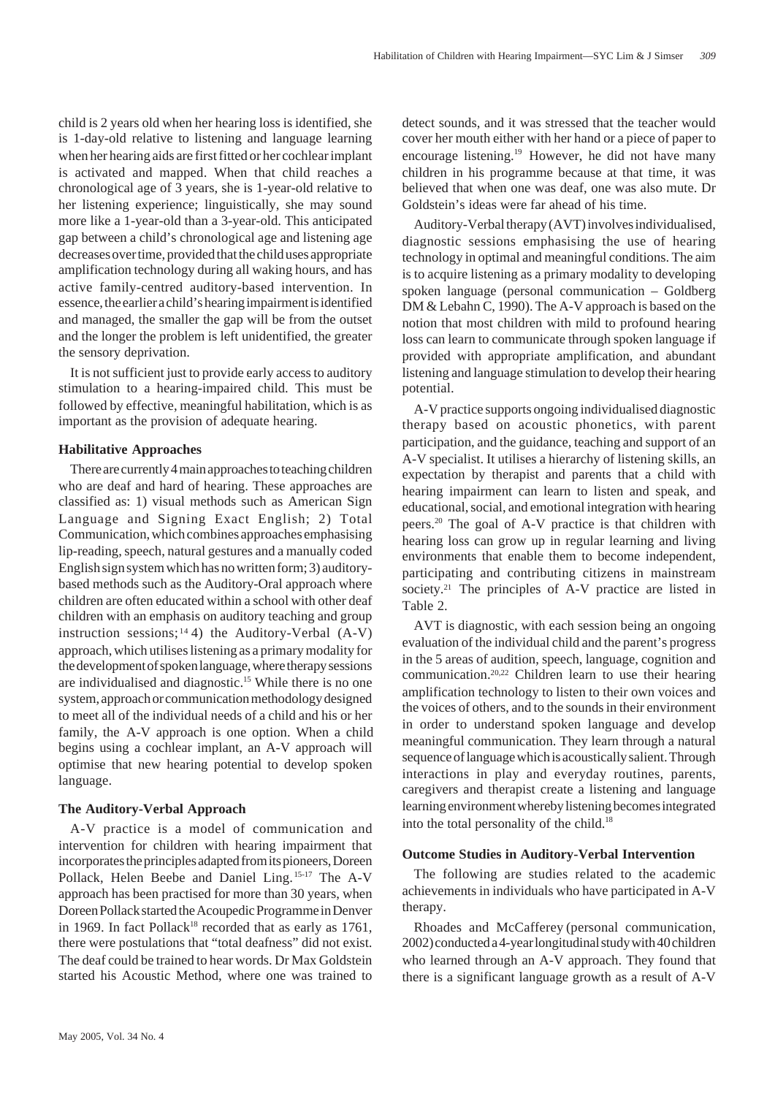child is 2 years old when her hearing loss is identified, she is 1-day-old relative to listening and language learning when her hearing aids are first fitted or her cochlear implant is activated and mapped. When that child reaches a chronological age of 3 years, she is 1-year-old relative to her listening experience; linguistically, she may sound more like a 1-year-old than a 3-year-old. This anticipated gap between a child's chronological age and listening age decreases over time, provided that the child uses appropriate amplification technology during all waking hours, and has active family-centred auditory-based intervention. In essence, the earlier a child's hearing impairment is identified and managed, the smaller the gap will be from the outset and the longer the problem is left unidentified, the greater the sensory deprivation.

It is not sufficient just to provide early access to auditory stimulation to a hearing-impaired child. This must be followed by effective, meaningful habilitation, which is as important as the provision of adequate hearing.

# **Habilitative Approaches**

There are currently 4 main approaches to teaching children who are deaf and hard of hearing. These approaches are classified as: 1) visual methods such as American Sign Language and Signing Exact English; 2) Total Communication, which combines approaches emphasising lip-reading, speech, natural gestures and a manually coded English sign system which has no written form; 3) auditorybased methods such as the Auditory-Oral approach where children are often educated within a school with other deaf children with an emphasis on auditory teaching and group instruction sessions;  $14$  4) the Auditory-Verbal (A-V) approach, which utilises listening as a primary modality for the development of spoken language, where therapy sessions are individualised and diagnostic.15 While there is no one system, approach or communication methodology designed to meet all of the individual needs of a child and his or her family, the A-V approach is one option. When a child begins using a cochlear implant, an A-V approach will optimise that new hearing potential to develop spoken language.

# **The Auditory-Verbal Approach**

A-V practice is a model of communication and intervention for children with hearing impairment that incorporates the principles adapted from its pioneers, Doreen Pollack, Helen Beebe and Daniel Ling. 15-17 The A-V approach has been practised for more than 30 years, when Doreen Pollack started the Acoupedic Programme in Denver in 1969. In fact Pollack<sup>18</sup> recorded that as early as  $1761$ , there were postulations that "total deafness" did not exist. The deaf could be trained to hear words. Dr Max Goldstein started his Acoustic Method, where one was trained to

detect sounds, and it was stressed that the teacher would cover her mouth either with her hand or a piece of paper to encourage listening.19 However, he did not have many children in his programme because at that time, it was believed that when one was deaf, one was also mute. Dr Goldstein's ideas were far ahead of his time.

Auditory-Verbal therapy (AVT) involves individualised, diagnostic sessions emphasising the use of hearing technology in optimal and meaningful conditions. The aim is to acquire listening as a primary modality to developing spoken language (personal communication – Goldberg DM & Lebahn C, 1990). The A-V approach is based on the notion that most children with mild to profound hearing loss can learn to communicate through spoken language if provided with appropriate amplification, and abundant listening and language stimulation to develop their hearing potential.

A-V practice supports ongoing individualised diagnostic therapy based on acoustic phonetics, with parent participation, and the guidance, teaching and support of an A-V specialist. It utilises a hierarchy of listening skills, an expectation by therapist and parents that a child with hearing impairment can learn to listen and speak, and educational, social, and emotional integration with hearing peers.20 The goal of A-V practice is that children with hearing loss can grow up in regular learning and living environments that enable them to become independent, participating and contributing citizens in mainstream society.<sup>21</sup> The principles of A-V practice are listed in Table 2.

AVT is diagnostic, with each session being an ongoing evaluation of the individual child and the parent's progress in the 5 areas of audition, speech, language, cognition and communication.20,22 Children learn to use their hearing amplification technology to listen to their own voices and the voices of others, and to the sounds in their environment in order to understand spoken language and develop meaningful communication. They learn through a natural sequence of language which is acoustically salient. Through interactions in play and everyday routines, parents, caregivers and therapist create a listening and language learning environment whereby listening becomes integrated into the total personality of the child.<sup>18</sup>

# **Outcome Studies in Auditory-Verbal Intervention**

The following are studies related to the academic achievements in individuals who have participated in A-V therapy.

Rhoades and McCafferey (personal communication, 2002) conducted a 4-year longitudinal study with 40 children who learned through an A-V approach. They found that there is a significant language growth as a result of A-V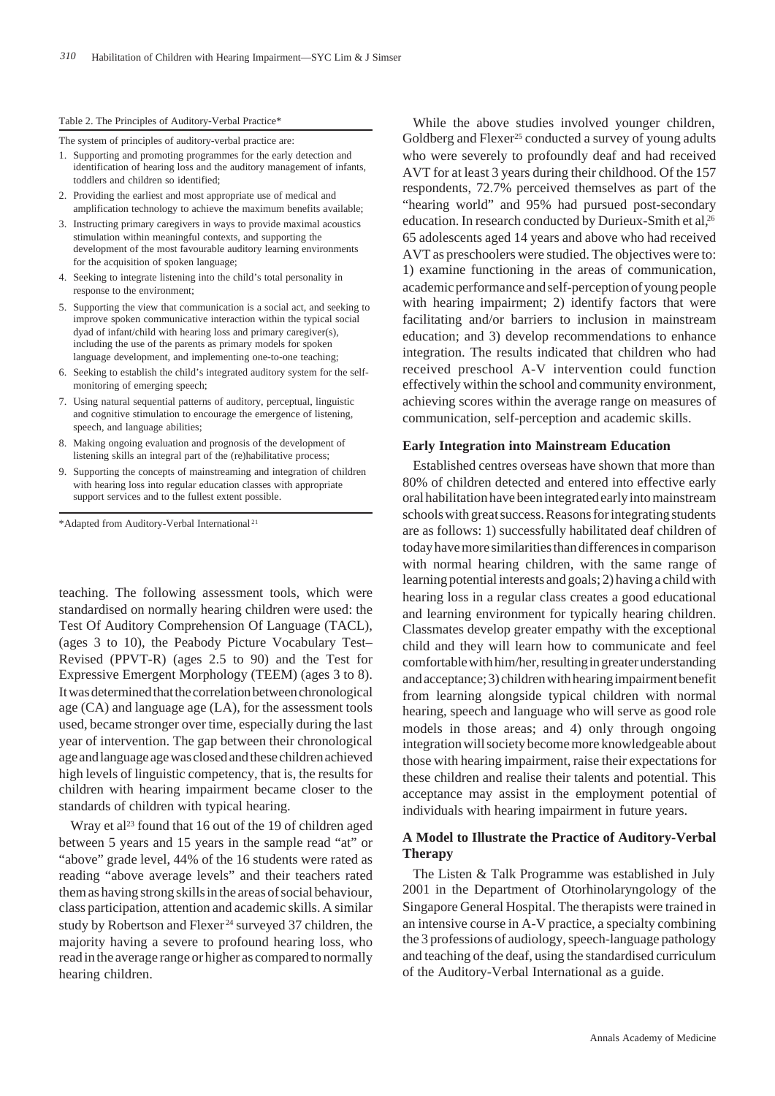#### Table 2. The Principles of Auditory-Verbal Practice\*

The system of principles of auditory-verbal practice are:

- 1. Supporting and promoting programmes for the early detection and identification of hearing loss and the auditory management of infants, toddlers and children so identified;
- 2. Providing the earliest and most appropriate use of medical and amplification technology to achieve the maximum benefits available;
- 3. Instructing primary caregivers in ways to provide maximal acoustics stimulation within meaningful contexts, and supporting the development of the most favourable auditory learning environments for the acquisition of spoken language;
- 4. Seeking to integrate listening into the child's total personality in response to the environment;
- 5. Supporting the view that communication is a social act, and seeking to improve spoken communicative interaction within the typical social dyad of infant/child with hearing loss and primary caregiver(s), including the use of the parents as primary models for spoken language development, and implementing one-to-one teaching;
- 6. Seeking to establish the child's integrated auditory system for the selfmonitoring of emerging speech;
- 7. Using natural sequential patterns of auditory, perceptual, linguistic and cognitive stimulation to encourage the emergence of listening, speech, and language abilities;
- 8. Making ongoing evaluation and prognosis of the development of listening skills an integral part of the (re)habilitative process;
- 9. Supporting the concepts of mainstreaming and integration of children with hearing loss into regular education classes with appropriate support services and to the fullest extent possible.

\*Adapted from Auditory-Verbal International <sup>21</sup>

teaching. The following assessment tools, which were standardised on normally hearing children were used: the Test Of Auditory Comprehension Of Language (TACL), (ages 3 to 10), the Peabody Picture Vocabulary Test– Revised (PPVT-R) (ages 2.5 to 90) and the Test for Expressive Emergent Morphology (TEEM) (ages 3 to 8). It was determined that the correlation between chronological age (CA) and language age (LA), for the assessment tools used, became stronger over time, especially during the last year of intervention. The gap between their chronological age and language age was closed and these children achieved high levels of linguistic competency, that is, the results for children with hearing impairment became closer to the standards of children with typical hearing.

Wray et al<sup>23</sup> found that 16 out of the 19 of children aged between 5 years and 15 years in the sample read "at" or "above" grade level, 44% of the 16 students were rated as reading "above average levels" and their teachers rated them as having strong skills in the areas of social behaviour, class participation, attention and academic skills. A similar study by Robertson and Flexer 24 surveyed 37 children, the majority having a severe to profound hearing loss, who read in the average range or higher as compared to normally hearing children.

While the above studies involved younger children, Goldberg and Flexer<sup>25</sup> conducted a survey of young adults who were severely to profoundly deaf and had received AVT for at least 3 years during their childhood. Of the 157 respondents, 72.7% perceived themselves as part of the "hearing world" and 95% had pursued post-secondary education. In research conducted by Durieux-Smith et al,<sup>26</sup> 65 adolescents aged 14 years and above who had received AVT as preschoolers were studied. The objectives were to: 1) examine functioning in the areas of communication, academic performance and self-perception of young people with hearing impairment; 2) identify factors that were facilitating and/or barriers to inclusion in mainstream education; and 3) develop recommendations to enhance integration. The results indicated that children who had received preschool A-V intervention could function effectively within the school and community environment, achieving scores within the average range on measures of communication, self-perception and academic skills.

#### **Early Integration into Mainstream Education**

Established centres overseas have shown that more than 80% of children detected and entered into effective early oral habilitation have been integrated early into mainstream schools with great success. Reasons for integrating students are as follows: 1) successfully habilitated deaf children of today have more similarities than differences in comparison with normal hearing children, with the same range of learning potential interests and goals; 2) having a child with hearing loss in a regular class creates a good educational and learning environment for typically hearing children. Classmates develop greater empathy with the exceptional child and they will learn how to communicate and feel comfortable with him/her, resulting in greater understanding and acceptance; 3) children with hearing impairment benefit from learning alongside typical children with normal hearing, speech and language who will serve as good role models in those areas; and 4) only through ongoing integration will society become more knowledgeable about those with hearing impairment, raise their expectations for these children and realise their talents and potential. This acceptance may assist in the employment potential of individuals with hearing impairment in future years.

# **A Model to Illustrate the Practice of Auditory-Verbal Therapy**

The Listen & Talk Programme was established in July 2001 in the Department of Otorhinolaryngology of the Singapore General Hospital. The therapists were trained in an intensive course in A-V practice, a specialty combining the 3 professions of audiology, speech-language pathology and teaching of the deaf, using the standardised curriculum of the Auditory-Verbal International as a guide.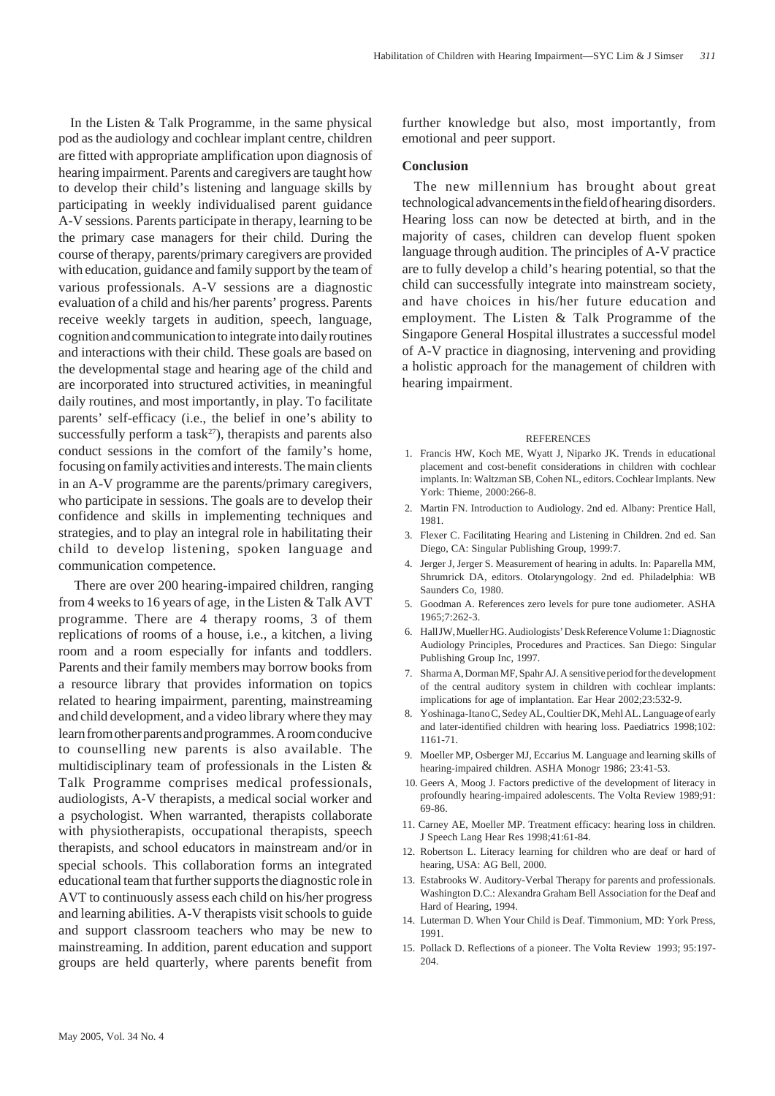In the Listen & Talk Programme, in the same physical pod as the audiology and cochlear implant centre, children are fitted with appropriate amplification upon diagnosis of hearing impairment. Parents and caregivers are taught how to develop their child's listening and language skills by participating in weekly individualised parent guidance A-V sessions. Parents participate in therapy, learning to be the primary case managers for their child. During the course of therapy, parents/primary caregivers are provided with education, guidance and family support by the team of various professionals. A-V sessions are a diagnostic evaluation of a child and his/her parents' progress. Parents receive weekly targets in audition, speech, language, cognition and communication to integrate into daily routines and interactions with their child. These goals are based on the developmental stage and hearing age of the child and are incorporated into structured activities, in meaningful daily routines, and most importantly, in play. To facilitate parents' self-efficacy (i.e., the belief in one's ability to successfully perform a task $27$ ), therapists and parents also conduct sessions in the comfort of the family's home, focusing on family activities and interests. The main clients in an A-V programme are the parents/primary caregivers, who participate in sessions. The goals are to develop their confidence and skills in implementing techniques and strategies, and to play an integral role in habilitating their child to develop listening, spoken language and communication competence.

There are over 200 hearing-impaired children, ranging from 4 weeks to 16 years of age, in the Listen & Talk AVT programme. There are 4 therapy rooms, 3 of them replications of rooms of a house, i.e., a kitchen, a living room and a room especially for infants and toddlers. Parents and their family members may borrow books from a resource library that provides information on topics related to hearing impairment, parenting, mainstreaming and child development, and a video library where they may learn from other parents and programmes. A room conducive to counselling new parents is also available. The multidisciplinary team of professionals in the Listen & Talk Programme comprises medical professionals, audiologists, A-V therapists, a medical social worker and a psychologist. When warranted, therapists collaborate with physiotherapists, occupational therapists, speech therapists, and school educators in mainstream and/or in special schools. This collaboration forms an integrated educational team that further supports the diagnostic role in AVT to continuously assess each child on his/her progress and learning abilities. A-V therapists visit schools to guide and support classroom teachers who may be new to mainstreaming. In addition, parent education and support groups are held quarterly, where parents benefit from

further knowledge but also, most importantly, from emotional and peer support.

### **Conclusion**

The new millennium has brought about great technological advancements in the field of hearing disorders. Hearing loss can now be detected at birth, and in the majority of cases, children can develop fluent spoken language through audition. The principles of A-V practice are to fully develop a child's hearing potential, so that the child can successfully integrate into mainstream society, and have choices in his/her future education and employment. The Listen & Talk Programme of the Singapore General Hospital illustrates a successful model of A-V practice in diagnosing, intervening and providing a holistic approach for the management of children with hearing impairment.

#### REFERENCES

- 1. Francis HW, Koch ME, Wyatt J, Niparko JK. Trends in educational placement and cost-benefit considerations in children with cochlear implants. In: Waltzman SB, Cohen NL, editors. Cochlear Implants. New York: Thieme, 2000:266-8.
- 2. Martin FN. Introduction to Audiology. 2nd ed. Albany: Prentice Hall, 1981.
- 3. Flexer C. Facilitating Hearing and Listening in Children. 2nd ed. San Diego, CA: Singular Publishing Group, 1999:7.
- 4. Jerger J, Jerger S. Measurement of hearing in adults. In: Paparella MM, Shrumrick DA, editors. Otolaryngology. 2nd ed. Philadelphia: WB Saunders Co, 1980.
- 5. Goodman A. References zero levels for pure tone audiometer. ASHA 1965;7:262-3.
- 6. Hall JW, Mueller HG. Audiologists' Desk Reference Volume 1: Diagnostic Audiology Principles, Procedures and Practices. San Diego: Singular Publishing Group Inc, 1997.
- 7. Sharma A, Dorman MF, Spahr AJ. A sensitive period for the development of the central auditory system in children with cochlear implants: implications for age of implantation. Ear Hear 2002;23:532-9.
- 8. Yoshinaga-Itano C, Sedey AL, Coultier DK, Mehl AL. Language of early and later-identified children with hearing loss. Paediatrics 1998;102: 1161-71.
- 9. Moeller MP, Osberger MJ, Eccarius M. Language and learning skills of hearing-impaired children. ASHA Monogr 1986; 23:41-53.
- 10. Geers A, Moog J. Factors predictive of the development of literacy in profoundly hearing-impaired adolescents. The Volta Review 1989;91: 69-86.
- 11. Carney AE, Moeller MP. Treatment efficacy: hearing loss in children. J Speech Lang Hear Res 1998;41:61-84.
- 12. Robertson L. Literacy learning for children who are deaf or hard of hearing, USA: AG Bell, 2000.
- 13. Estabrooks W. Auditory-Verbal Therapy for parents and professionals. Washington D.C.: Alexandra Graham Bell Association for the Deaf and Hard of Hearing, 1994.
- 14. Luterman D. When Your Child is Deaf. Timmonium, MD: York Press, 1991.
- 15. Pollack D. Reflections of a pioneer. The Volta Review 1993; 95:197- 204.